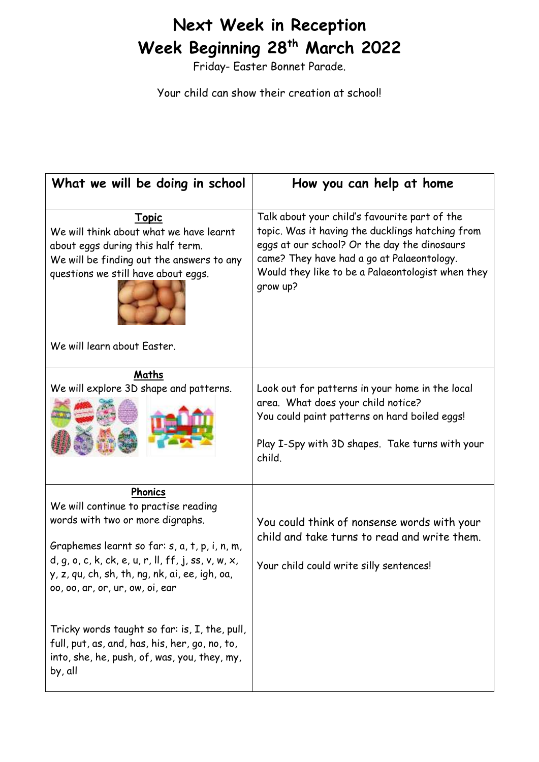## **Next Week in Reception Week Beginning 28 th March 2022**

Friday- Easter Bonnet Parade.

Your child can show their creation at school!

| What we will be doing in school                                                                                                                                                                                                                                                                                                                                                       | How you can help at home                                                                                                                                                                                                                                         |
|---------------------------------------------------------------------------------------------------------------------------------------------------------------------------------------------------------------------------------------------------------------------------------------------------------------------------------------------------------------------------------------|------------------------------------------------------------------------------------------------------------------------------------------------------------------------------------------------------------------------------------------------------------------|
| <b>Topic</b><br>We will think about what we have learnt<br>about eggs during this half term.<br>We will be finding out the answers to any<br>questions we still have about eggs.<br>We will learn about Easter.                                                                                                                                                                       | Talk about your child's favourite part of the<br>topic. Was it having the ducklings hatching from<br>eggs at our school? Or the day the dinosaurs<br>came? They have had a go at Palaeontology.<br>Would they like to be a Palaeontologist when they<br>grow up? |
| Maths<br>We will explore 3D shape and patterns.                                                                                                                                                                                                                                                                                                                                       | Look out for patterns in your home in the local<br>area. What does your child notice?<br>You could paint patterns on hard boiled eggs!<br>Play I-Spy with 3D shapes. Take turns with your<br>child.                                                              |
| Phonics<br>We will continue to practise reading<br>words with two or more digraphs.<br>Graphemes learnt so far: s, a, t, p, i, n, m,<br>$d, g, o, c, k, ck, e, u, r, ll, ff, j, ss, v, w, x,$<br>y, z, qu, ch, sh, th, ng, nk, ai, ee, igh, oa,<br>00, 00, ar, or, ur, ow, oi, ear<br>Tricky words taught so far: is, I, the, pull,<br>full, put, as, and, has, his, her, go, no, to, | You could think of nonsense words with your<br>child and take turns to read and write them.<br>Your child could write silly sentences!                                                                                                                           |
| into, she, he, push, of, was, you, they, my,<br>by, all                                                                                                                                                                                                                                                                                                                               |                                                                                                                                                                                                                                                                  |